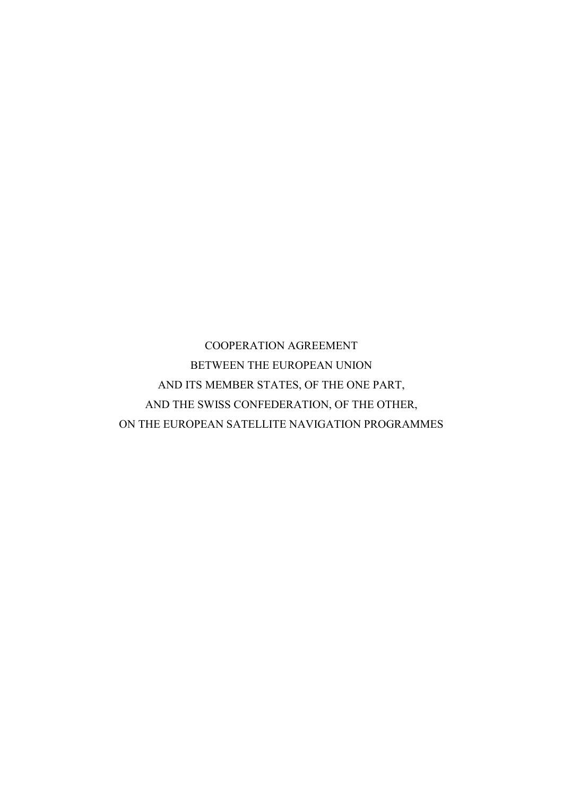COOPERATION AGREEMENT BETWEEN THE EUROPEAN UNION AND ITS MEMBER STATES, OF THE ONE PART, AND THE SWISS CONFEDERATION, OF THE OTHER, ON THE EUROPEAN SATELLITE NAVIGATION PROGRAMMES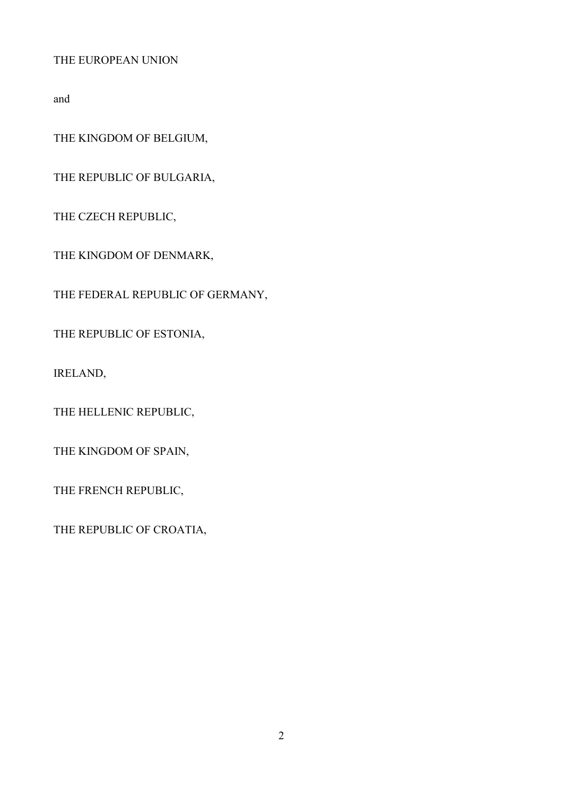## THE EUROPEAN UNION

and

THE KINGDOM OF BELGIUM,

THE REPUBLIC OF BULGARIA,

THE CZECH REPUBLIC,

THE KINGDOM OF DENMARK,

THE FEDERAL REPUBLIC OF GERMANY,

THE REPUBLIC OF ESTONIA,

IRELAND,

THE HELLENIC REPUBLIC,

THE KINGDOM OF SPAIN,

THE FRENCH REPUBLIC,

THE REPUBLIC OF CROATIA,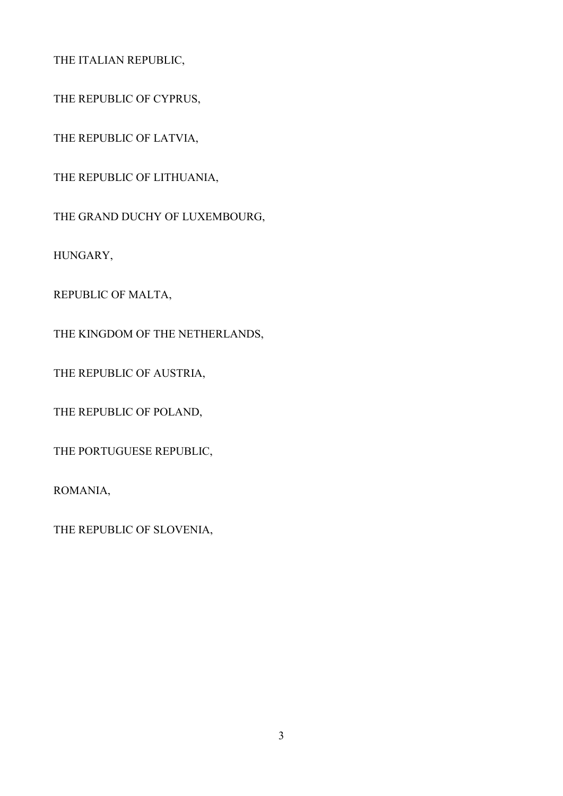THE ITALIAN REPUBLIC,

THE REPUBLIC OF CYPRUS,

THE REPUBLIC OF LATVIA,

THE REPUBLIC OF LITHUANIA,

THE GRAND DUCHY OF LUXEMBOURG,

HUNGARY,

REPUBLIC OF MALTA,

THE KINGDOM OF THE NETHERLANDS,

THE REPUBLIC OF AUSTRIA,

THE REPUBLIC OF POLAND,

THE PORTUGUESE REPUBLIC,

ROMANIA,

THE REPUBLIC OF SLOVENIA,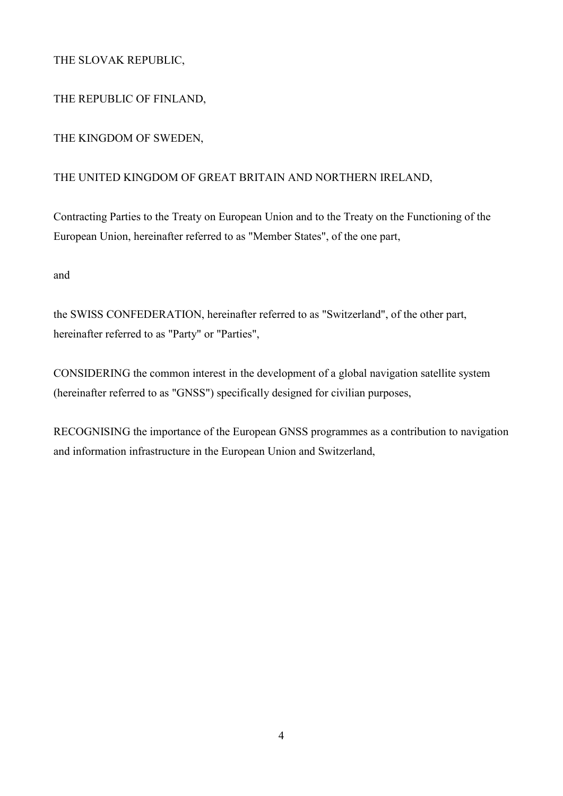## THE SLOVAK REPUBLIC,

## THE REPUBLIC OF FINLAND,

## THE KINGDOM OF SWEDEN,

## THE UNITED KINGDOM OF GREAT BRITAIN AND NORTHERN IRELAND,

Contracting Parties to the Treaty on European Union and to the Treaty on the Functioning of the European Union, hereinafter referred to as "Member States", of the one part,

and

the SWISS CONFEDERATION, hereinafter referred to as "Switzerland", of the other part, hereinafter referred to as "Party" or "Parties",

CONSIDERING the common interest in the development of a global navigation satellite system (hereinafter referred to as "GNSS") specifically designed for civilian purposes,

RECOGNISING the importance of the European GNSS programmes as a contribution to navigation and information infrastructure in the European Union and Switzerland,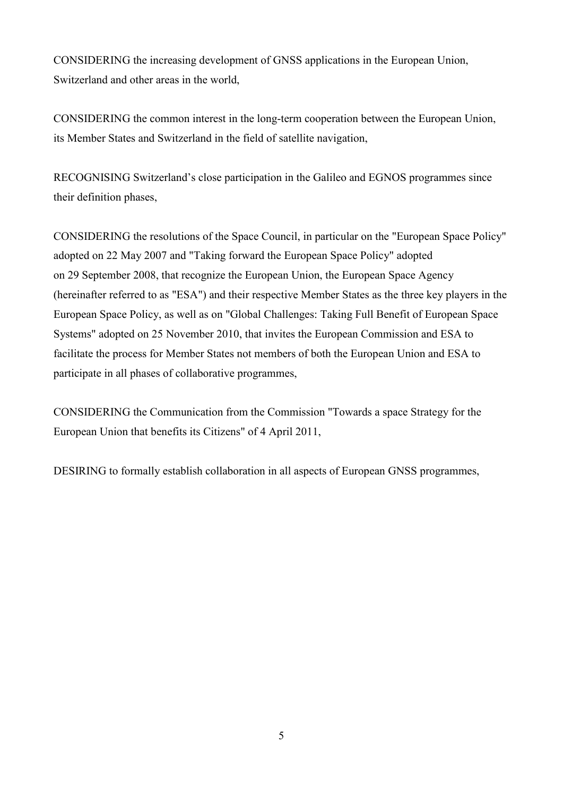CONSIDERING the increasing development of GNSS applications in the European Union, Switzerland and other areas in the world,

CONSIDERING the common interest in the long-term cooperation between the European Union, its Member States and Switzerland in the field of satellite navigation,

RECOGNISING Switzerland's close participation in the Galileo and EGNOS programmes since their definition phases,

CONSIDERING the resolutions of the Space Council, in particular on the "European Space Policy" adopted on 22 May 2007 and "Taking forward the European Space Policy" adopted on 29 September 2008, that recognize the European Union, the European Space Agency (hereinafter referred to as "ESA") and their respective Member States as the three key players in the European Space Policy, as well as on "Global Challenges: Taking Full Benefit of European Space Systems" adopted on 25 November 2010, that invites the European Commission and ESA to facilitate the process for Member States not members of both the European Union and ESA to participate in all phases of collaborative programmes,

CONSIDERING the Communication from the Commission "Towards a space Strategy for the European Union that benefits its Citizens" of 4 April 2011,

DESIRING to formally establish collaboration in all aspects of European GNSS programmes,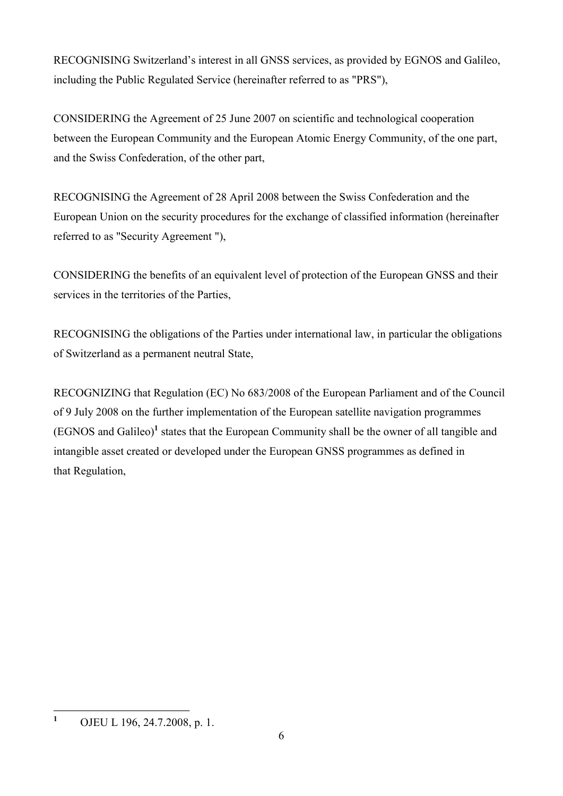RECOGNISING Switzerland's interest in all GNSS services, as provided by EGNOS and Galileo, including the Public Regulated Service (hereinafter referred to as "PRS"),

CONSIDERING the Agreement of 25 June 2007 on scientific and technological cooperation between the European Community and the European Atomic Energy Community, of the one part, and the Swiss Confederation, of the other part,

RECOGNISING the Agreement of 28 April 2008 between the Swiss Confederation and the European Union on the security procedures for the exchange of classified information (hereinafter referred to as "Security Agreement "),

CONSIDERING the benefits of an equivalent level of protection of the European GNSS and their services in the territories of the Parties,

RECOGNISING the obligations of the Parties under international law, in particular the obligations of Switzerland as a permanent neutral State,

<span id="page-5-1"></span>RECOGNIZING that Regulation (EC) No 683/2008 of the European Parliament and of the Council of 9 July 2008 on the further implementation of the European satellite navigation programmes (EGNOS and Galileo)<sup>[1](#page-5-0)</sup> states that the European Community shall be the owner of all tangible and intangible asset created or developed under the European GNSS programmes as defined in that Regulation,

<span id="page-5-0"></span> **[1](#page-5-1)** OJEU L 196, 24.7.2008, p. 1.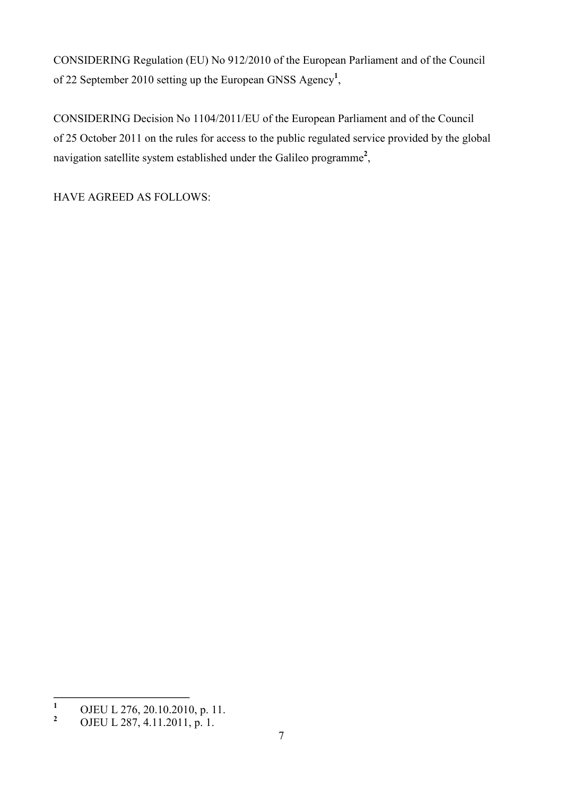<span id="page-6-2"></span>CONSIDERING Regulation (EU) No 912/2010 of the European Parliament and of the Council of 22 September 2010 setting up the European GNSS Agency**<sup>1</sup>** [,](#page-6-0)

CONSIDERING Decision No 1104/2011/EU of the European Parliament and of the Council of 25 October 2011 on the rules for access to the public regulated service provided by the global navigation satellite system established under the Galileo programme**[2](#page-6-1)** ,

<span id="page-6-3"></span>HAVE AGREED AS FOLLOWS:

<span id="page-6-0"></span> **[1](#page-6-2)** OJEU L 276, 20.10.2010, p. 11.

<span id="page-6-1"></span>**[<sup>2</sup>](#page-6-3)** OJEU L 287, 4.11.2011, p. 1.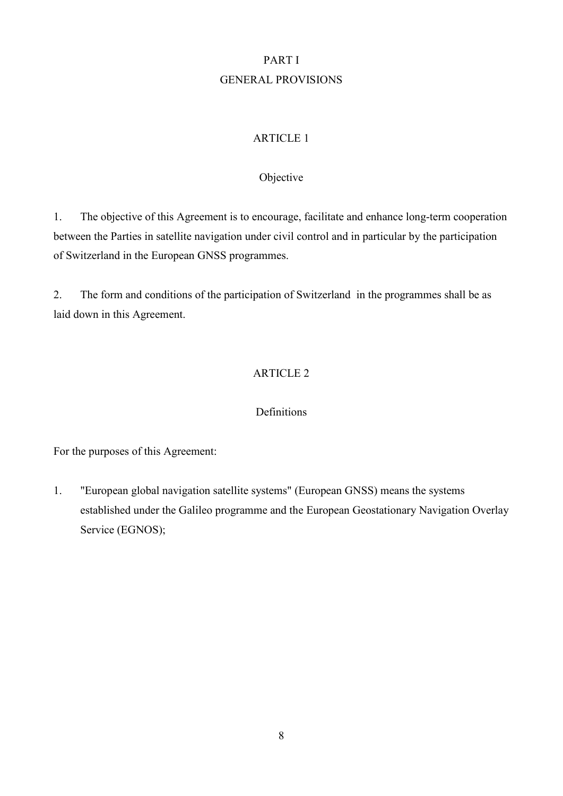# PART I GENERAL PROVISIONS

# ARTICLE 1

# Objective

1. The objective of this Agreement is to encourage, facilitate and enhance long-term cooperation between the Parties in satellite navigation under civil control and in particular by the participation of Switzerland in the European GNSS programmes.

2. The form and conditions of the participation of Switzerland in the programmes shall be as laid down in this Agreement.

# ARTICLE 2

# Definitions

For the purposes of this Agreement:

1. "European global navigation satellite systems" (European GNSS) means the systems established under the Galileo programme and the European Geostationary Navigation Overlay Service (EGNOS);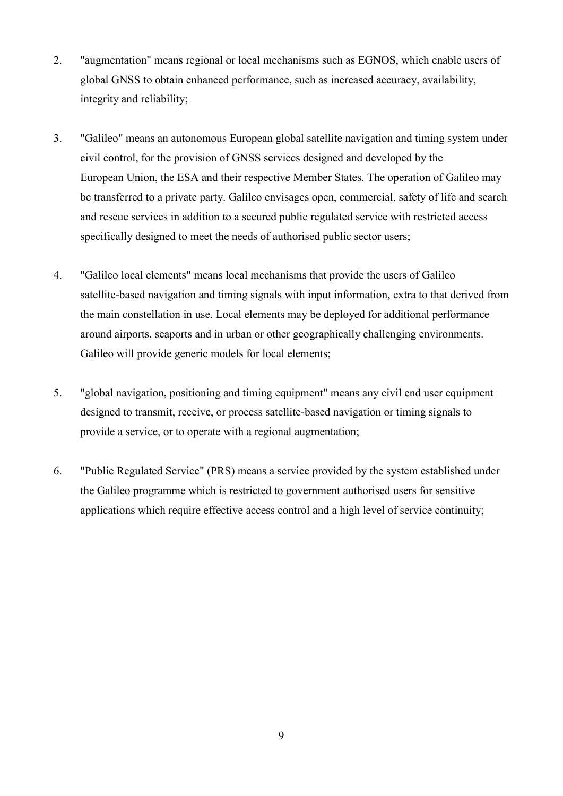- 2. "augmentation" means regional or local mechanisms such as EGNOS, which enable users of global GNSS to obtain enhanced performance, such as increased accuracy, availability, integrity and reliability;
- 3. "Galileo" means an autonomous European global satellite navigation and timing system under civil control, for the provision of GNSS services designed and developed by the European Union, the ESA and their respective Member States. The operation of Galileo may be transferred to a private party. Galileo envisages open, commercial, safety of life and search and rescue services in addition to a secured public regulated service with restricted access specifically designed to meet the needs of authorised public sector users;
- 4. "Galileo local elements" means local mechanisms that provide the users of Galileo satellite-based navigation and timing signals with input information, extra to that derived from the main constellation in use. Local elements may be deployed for additional performance around airports, seaports and in urban or other geographically challenging environments. Galileo will provide generic models for local elements;
- 5. "global navigation, positioning and timing equipment" means any civil end user equipment designed to transmit, receive, or process satellite-based navigation or timing signals to provide a service, or to operate with a regional augmentation;
- 6. "Public Regulated Service" (PRS) means a service provided by the system established under the Galileo programme which is restricted to government authorised users for sensitive applications which require effective access control and a high level of service continuity;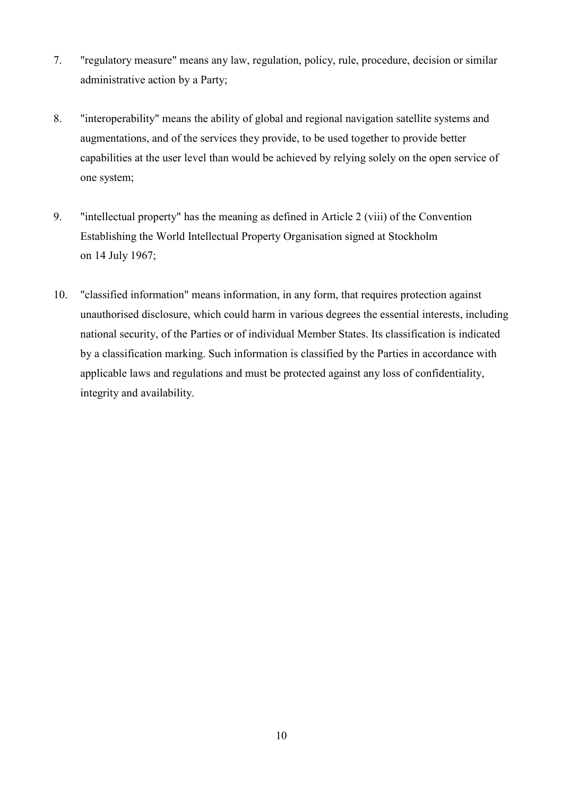- 7. "regulatory measure" means any law, regulation, policy, rule, procedure, decision or similar administrative action by a Party;
- 8. "interoperability" means the ability of global and regional navigation satellite systems and augmentations, and of the services they provide, to be used together to provide better capabilities at the user level than would be achieved by relying solely on the open service of one system;
- 9. "intellectual property" has the meaning as defined in Article 2 (viii) of the Convention Establishing the World Intellectual Property Organisation signed at Stockholm on 14 July 1967;
- 10. "classified information" means information, in any form, that requires protection against unauthorised disclosure, which could harm in various degrees the essential interests, including national security, of the Parties or of individual Member States. Its classification is indicated by a classification marking. Such information is classified by the Parties in accordance with applicable laws and regulations and must be protected against any loss of confidentiality, integrity and availability.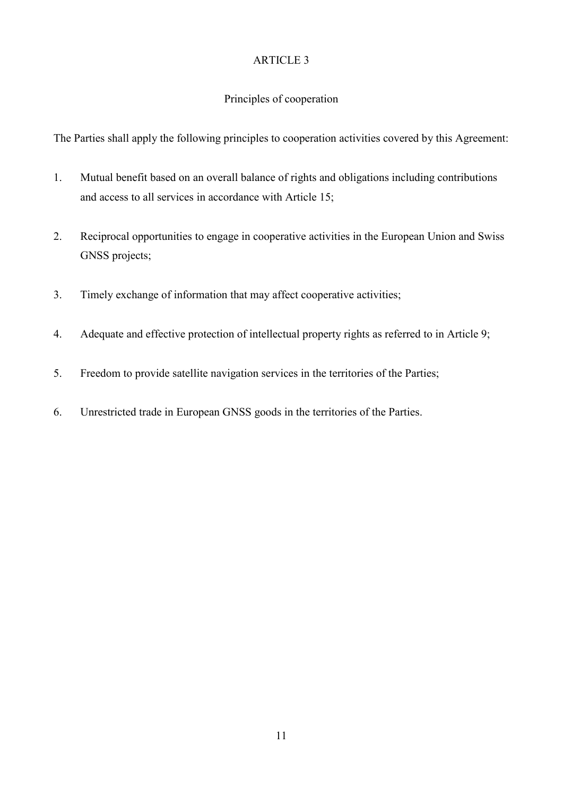## Principles of cooperation

The Parties shall apply the following principles to cooperation activities covered by this Agreement:

- 1. Mutual benefit based on an overall balance of rights and obligations including contributions and access to all services in accordance with Article 15;
- 2. Reciprocal opportunities to engage in cooperative activities in the European Union and Swiss GNSS projects;
- 3. Timely exchange of information that may affect cooperative activities;
- 4. Adequate and effective protection of intellectual property rights as referred to in Article 9;
- 5. Freedom to provide satellite navigation services in the territories of the Parties;
- 6. Unrestricted trade in European GNSS goods in the territories of the Parties.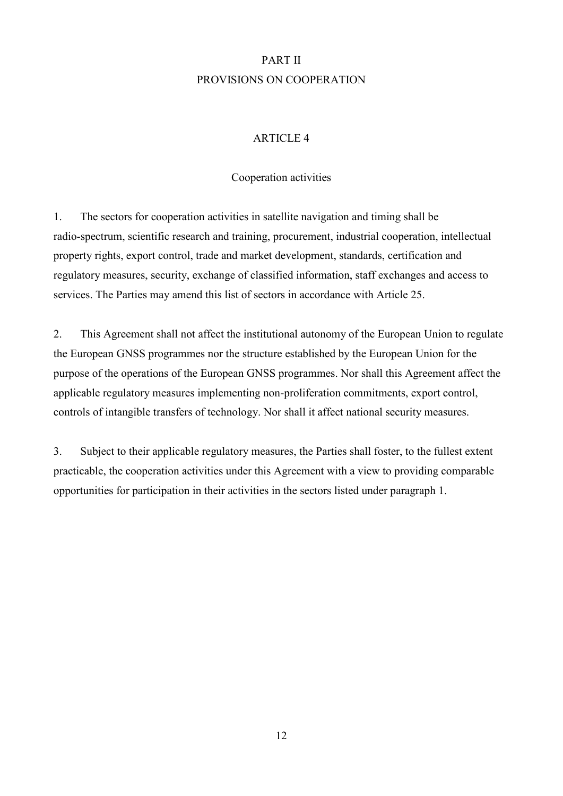# PART II PROVISIONS ON COOPERATION

## ARTICLE 4

## Cooperation activities

1. The sectors for cooperation activities in satellite navigation and timing shall be radio-spectrum, scientific research and training, procurement, industrial cooperation, intellectual property rights, export control, trade and market development, standards, certification and regulatory measures, security, exchange of classified information, staff exchanges and access to services. The Parties may amend this list of sectors in accordance with Article 25.

2. This Agreement shall not affect the institutional autonomy of the European Union to regulate the European GNSS programmes nor the structure established by the European Union for the purpose of the operations of the European GNSS programmes. Nor shall this Agreement affect the applicable regulatory measures implementing non-proliferation commitments, export control, controls of intangible transfers of technology. Nor shall it affect national security measures.

3. Subject to their applicable regulatory measures, the Parties shall foster, to the fullest extent practicable, the cooperation activities under this Agreement with a view to providing comparable opportunities for participation in their activities in the sectors listed under paragraph 1.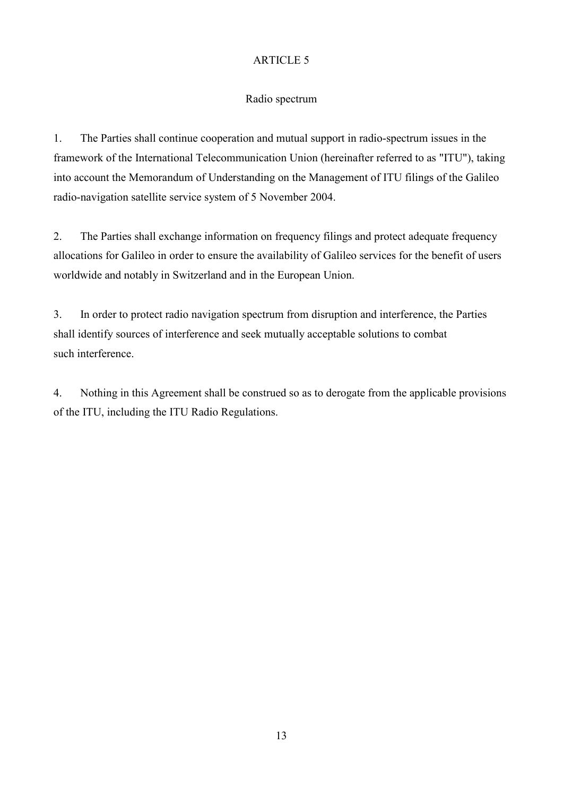## Radio spectrum

1. The Parties shall continue cooperation and mutual support in radio-spectrum issues in the framework of the International Telecommunication Union (hereinafter referred to as "ITU"), taking into account the Memorandum of Understanding on the Management of ITU filings of the Galileo radio-navigation satellite service system of 5 November 2004.

2. The Parties shall exchange information on frequency filings and protect adequate frequency allocations for Galileo in order to ensure the availability of Galileo services for the benefit of users worldwide and notably in Switzerland and in the European Union.

3. In order to protect radio navigation spectrum from disruption and interference, the Parties shall identify sources of interference and seek mutually acceptable solutions to combat such interference.

4. Nothing in this Agreement shall be construed so as to derogate from the applicable provisions of the ITU, including the ITU Radio Regulations.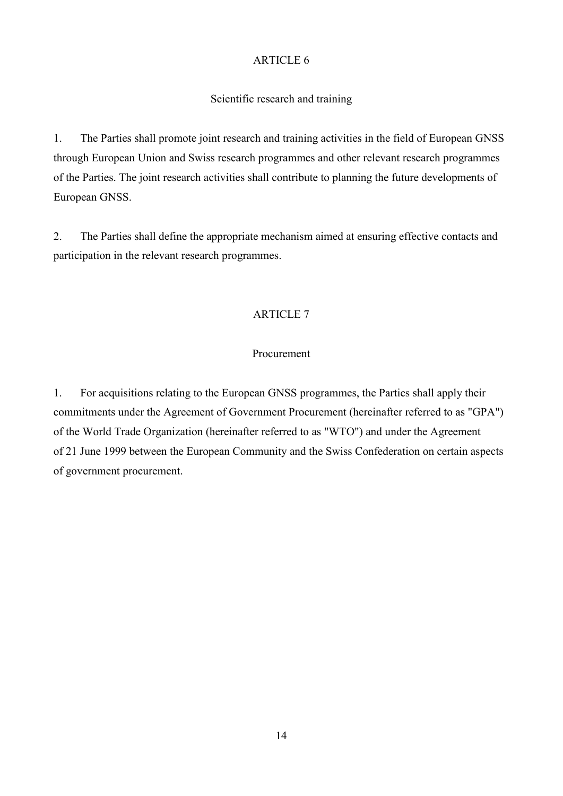#### Scientific research and training

1. The Parties shall promote joint research and training activities in the field of European GNSS through European Union and Swiss research programmes and other relevant research programmes of the Parties. The joint research activities shall contribute to planning the future developments of European GNSS.

2. The Parties shall define the appropriate mechanism aimed at ensuring effective contacts and participation in the relevant research programmes.

#### ARTICLE 7

#### Procurement

1. For acquisitions relating to the European GNSS programmes, the Parties shall apply their commitments under the Agreement of Government Procurement (hereinafter referred to as "GPA") of the World Trade Organization (hereinafter referred to as "WTO") and under the Agreement of 21 June 1999 between the European Community and the Swiss Confederation on certain aspects of government procurement.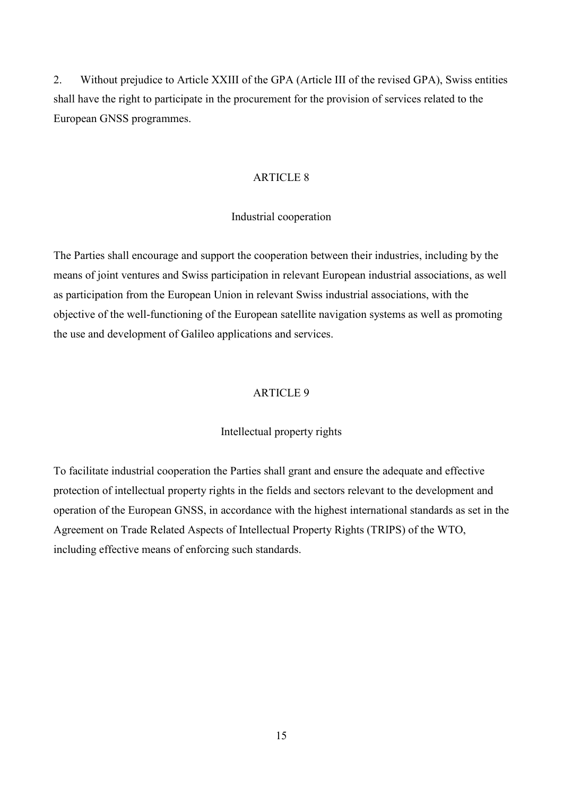2. Without prejudice to Article XXIII of the GPA (Article III of the revised GPA), Swiss entities shall have the right to participate in the procurement for the provision of services related to the European GNSS programmes.

#### ARTICLE 8

#### Industrial cooperation

The Parties shall encourage and support the cooperation between their industries, including by the means of joint ventures and Swiss participation in relevant European industrial associations, as well as participation from the European Union in relevant Swiss industrial associations, with the objective of the well-functioning of the European satellite navigation systems as well as promoting the use and development of Galileo applications and services.

#### ARTICLE 9

#### Intellectual property rights

To facilitate industrial cooperation the Parties shall grant and ensure the adequate and effective protection of intellectual property rights in the fields and sectors relevant to the development and operation of the European GNSS, in accordance with the highest international standards as set in the Agreement on Trade Related Aspects of Intellectual Property Rights (TRIPS) of the WTO, including effective means of enforcing such standards.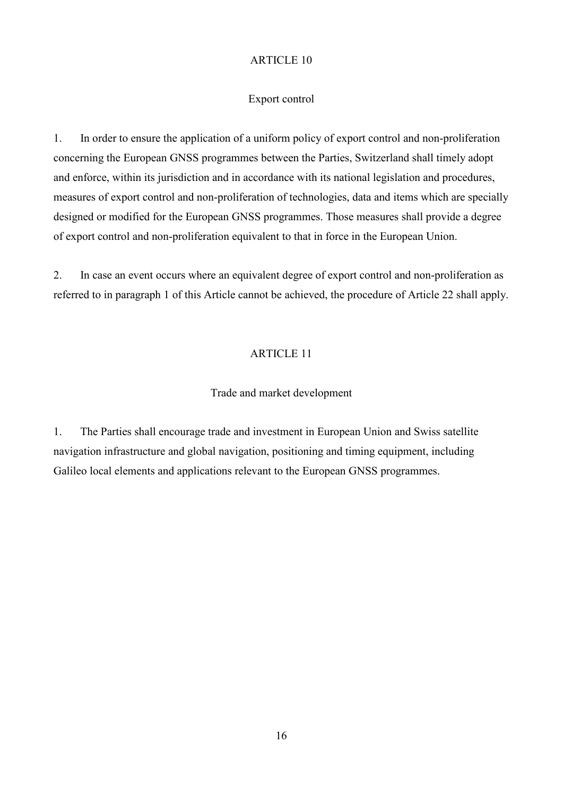#### Export control

1. In order to ensure the application of a uniform policy of export control and non-proliferation concerning the European GNSS programmes between the Parties, Switzerland shall timely adopt and enforce, within its jurisdiction and in accordance with its national legislation and procedures, measures of export control and non-proliferation of technologies, data and items which are specially designed or modified for the European GNSS programmes. Those measures shall provide a degree of export control and non-proliferation equivalent to that in force in the European Union.

2. In case an event occurs where an equivalent degree of export control and non-proliferation as referred to in paragraph 1 of this Article cannot be achieved, the procedure of Article 22 shall apply.

#### ARTICLE 11

#### Trade and market development

1. The Parties shall encourage trade and investment in European Union and Swiss satellite navigation infrastructure and global navigation, positioning and timing equipment, including Galileo local elements and applications relevant to the European GNSS programmes.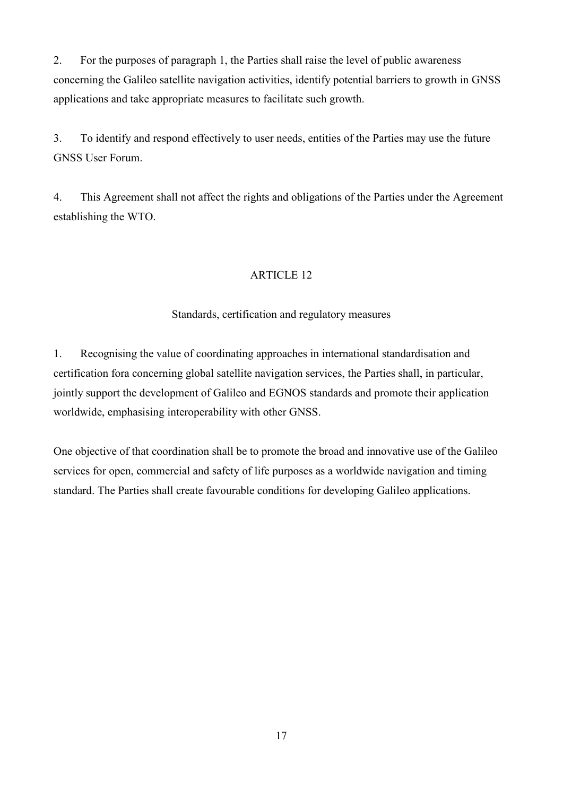2. For the purposes of paragraph 1, the Parties shall raise the level of public awareness concerning the Galileo satellite navigation activities, identify potential barriers to growth in GNSS applications and take appropriate measures to facilitate such growth.

3. To identify and respond effectively to user needs, entities of the Parties may use the future GNSS User Forum.

4. This Agreement shall not affect the rights and obligations of the Parties under the Agreement establishing the WTO.

## ARTICLE 12

## Standards, certification and regulatory measures

1. Recognising the value of coordinating approaches in international standardisation and certification fora concerning global satellite navigation services, the Parties shall, in particular, jointly support the development of Galileo and EGNOS standards and promote their application worldwide, emphasising interoperability with other GNSS.

One objective of that coordination shall be to promote the broad and innovative use of the Galileo services for open, commercial and safety of life purposes as a worldwide navigation and timing standard. The Parties shall create favourable conditions for developing Galileo applications.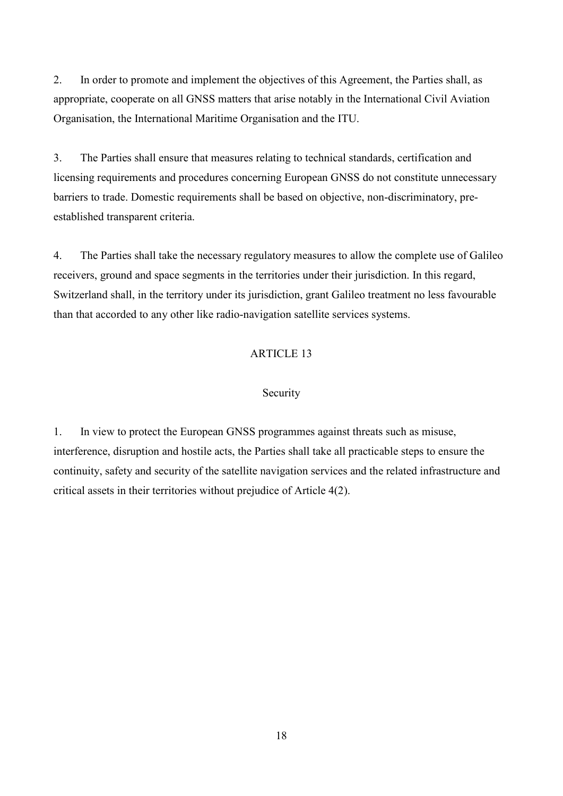2. In order to promote and implement the objectives of this Agreement, the Parties shall, as appropriate, cooperate on all GNSS matters that arise notably in the International Civil Aviation Organisation, the International Maritime Organisation and the ITU.

3. The Parties shall ensure that measures relating to technical standards, certification and licensing requirements and procedures concerning European GNSS do not constitute unnecessary barriers to trade. Domestic requirements shall be based on objective, non-discriminatory, preestablished transparent criteria.

4. The Parties shall take the necessary regulatory measures to allow the complete use of Galileo receivers, ground and space segments in the territories under their jurisdiction. In this regard, Switzerland shall, in the territory under its jurisdiction, grant Galileo treatment no less favourable than that accorded to any other like radio-navigation satellite services systems.

## ARTICLE 13

#### Security

1. In view to protect the European GNSS programmes against threats such as misuse, interference, disruption and hostile acts, the Parties shall take all practicable steps to ensure the continuity, safety and security of the satellite navigation services and the related infrastructure and critical assets in their territories without prejudice of Article 4(2).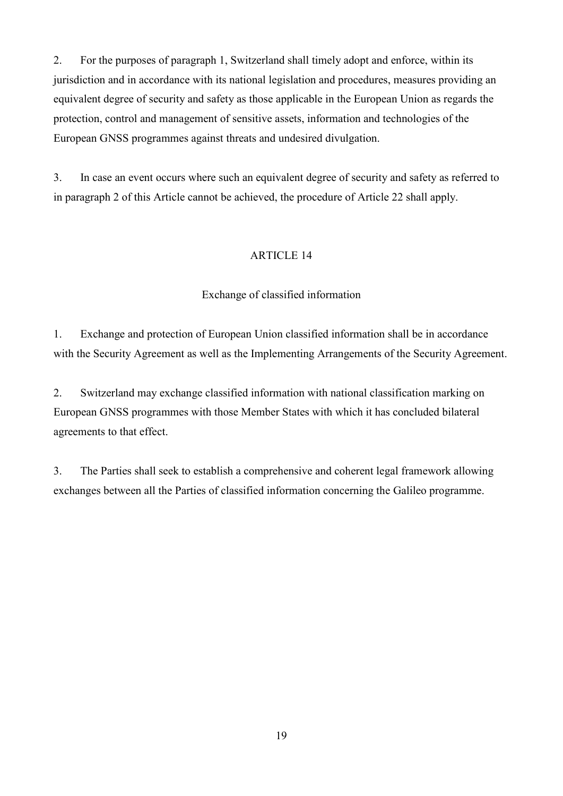2. For the purposes of paragraph 1, Switzerland shall timely adopt and enforce, within its jurisdiction and in accordance with its national legislation and procedures, measures providing an equivalent degree of security and safety as those applicable in the European Union as regards the protection, control and management of sensitive assets, information and technologies of the European GNSS programmes against threats and undesired divulgation.

3. In case an event occurs where such an equivalent degree of security and safety as referred to in paragraph 2 of this Article cannot be achieved, the procedure of Article 22 shall apply.

## ARTICLE 14

## Exchange of classified information

1. Exchange and protection of European Union classified information shall be in accordance with the Security Agreement as well as the Implementing Arrangements of the Security Agreement.

2. Switzerland may exchange classified information with national classification marking on European GNSS programmes with those Member States with which it has concluded bilateral agreements to that effect.

3. The Parties shall seek to establish a comprehensive and coherent legal framework allowing exchanges between all the Parties of classified information concerning the Galileo programme.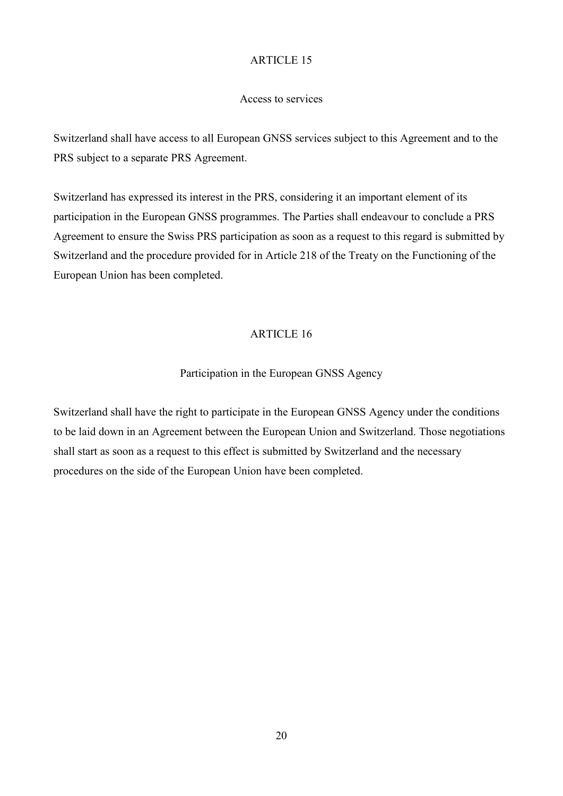#### Access to services

Switzerland shall have access to all European GNSS services subject to this Agreement and to the PRS subject to a separate PRS Agreement.

Switzerland has expressed its interest in the PRS, considering it an important element of its participation in the European GNSS programmes. The Parties shall endeavour to conclude a PRS Agreement to ensure the Swiss PRS participation as soon as a request to this regard is submitted by Switzerland and the procedure provided for in Article 218 of the Treaty on the Functioning of the European Union has been completed.

#### ARTICLE 16

## Participation in the European GNSS Agency

Switzerland shall have the right to participate in the European GNSS Agency under the conditions to be laid down in an Agreement between the European Union and Switzerland. Those negotiations shall start as soon as a request to this effect is submitted by Switzerland and the necessary procedures on the side of the European Union have been completed.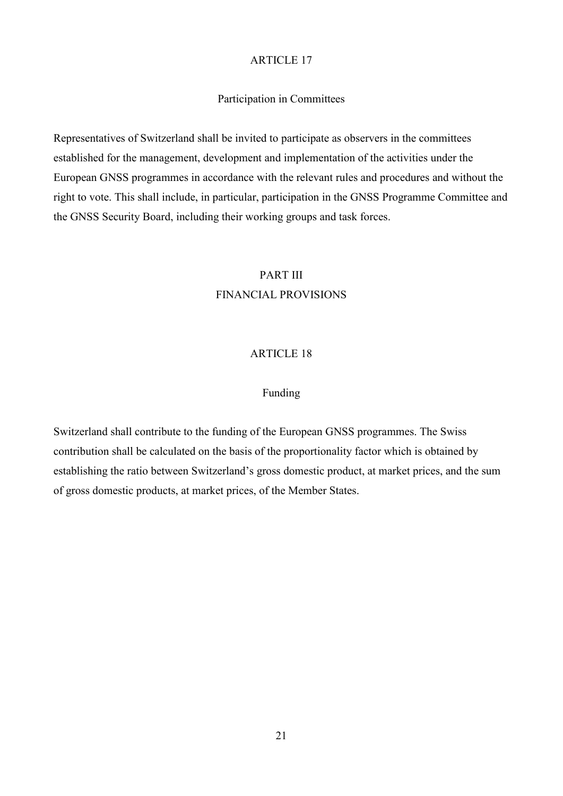#### Participation in Committees

Representatives of Switzerland shall be invited to participate as observers in the committees established for the management, development and implementation of the activities under the European GNSS programmes in accordance with the relevant rules and procedures and without the right to vote. This shall include, in particular, participation in the GNSS Programme Committee and the GNSS Security Board, including their working groups and task forces.

# PART III FINANCIAL PROVISIONS

#### ARTICLE 18

#### Funding

Switzerland shall contribute to the funding of the European GNSS programmes. The Swiss contribution shall be calculated on the basis of the proportionality factor which is obtained by establishing the ratio between Switzerland's gross domestic product, at market prices, and the sum of gross domestic products, at market prices, of the Member States.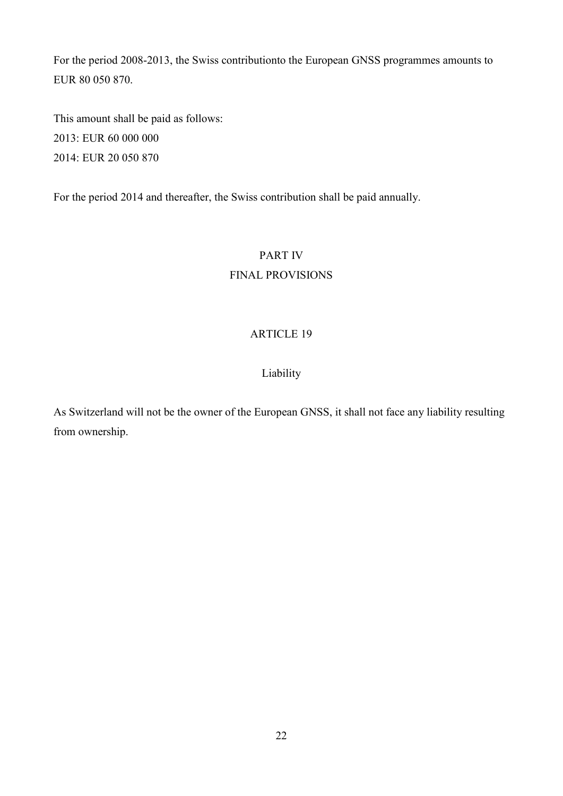For the period 2008-2013, the Swiss contributionto the European GNSS programmes amounts to EUR 80 050 870.

This amount shall be paid as follows: 2013: EUR 60 000 000 2014: EUR 20 050 870

For the period 2014 and thereafter, the Swiss contribution shall be paid annually.

# PART IV FINAL PROVISIONS

## ARTICLE 19

## Liability

As Switzerland will not be the owner of the European GNSS, it shall not face any liability resulting from ownership.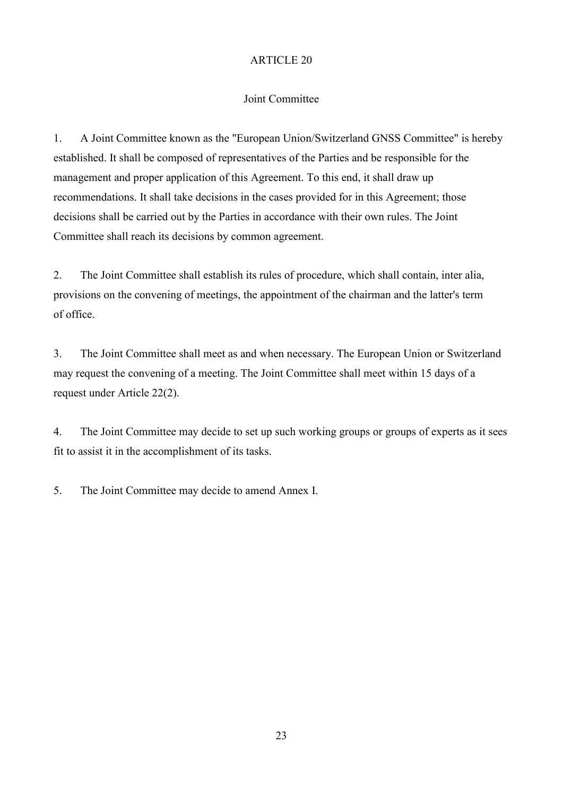## Joint Committee

1. A Joint Committee known as the "European Union/Switzerland GNSS Committee" is hereby established. It shall be composed of representatives of the Parties and be responsible for the management and proper application of this Agreement. To this end, it shall draw up recommendations. It shall take decisions in the cases provided for in this Agreement; those decisions shall be carried out by the Parties in accordance with their own rules. The Joint Committee shall reach its decisions by common agreement.

2. The Joint Committee shall establish its rules of procedure, which shall contain, inter alia, provisions on the convening of meetings, the appointment of the chairman and the latter's term of office.

3. The Joint Committee shall meet as and when necessary. The European Union or Switzerland may request the convening of a meeting. The Joint Committee shall meet within 15 days of a request under Article 22(2).

4. The Joint Committee may decide to set up such working groups or groups of experts as it sees fit to assist it in the accomplishment of its tasks.

5. The Joint Committee may decide to amend Annex I.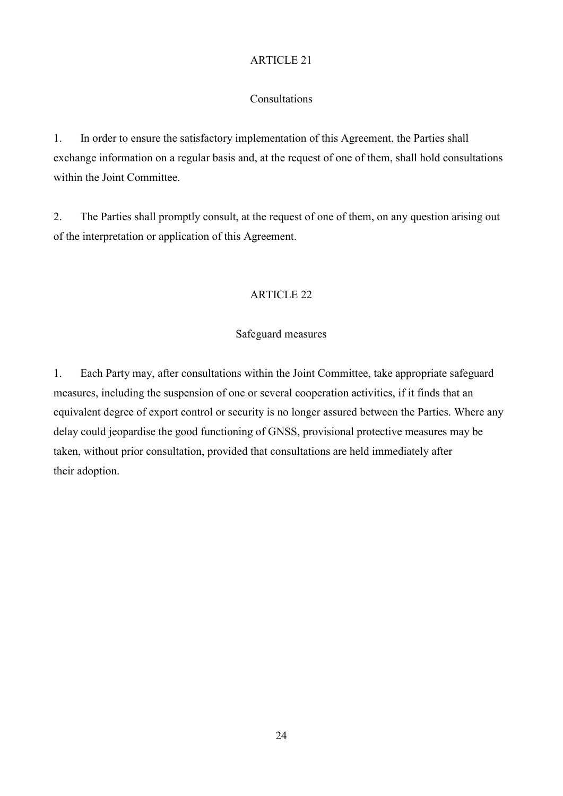#### Consultations

1. In order to ensure the satisfactory implementation of this Agreement, the Parties shall exchange information on a regular basis and, at the request of one of them, shall hold consultations within the Joint Committee.

2. The Parties shall promptly consult, at the request of one of them, on any question arising out of the interpretation or application of this Agreement.

#### ARTICLE 22

#### Safeguard measures

1. Each Party may, after consultations within the Joint Committee, take appropriate safeguard measures, including the suspension of one or several cooperation activities, if it finds that an equivalent degree of export control or security is no longer assured between the Parties. Where any delay could jeopardise the good functioning of GNSS, provisional protective measures may be taken, without prior consultation, provided that consultations are held immediately after their adoption.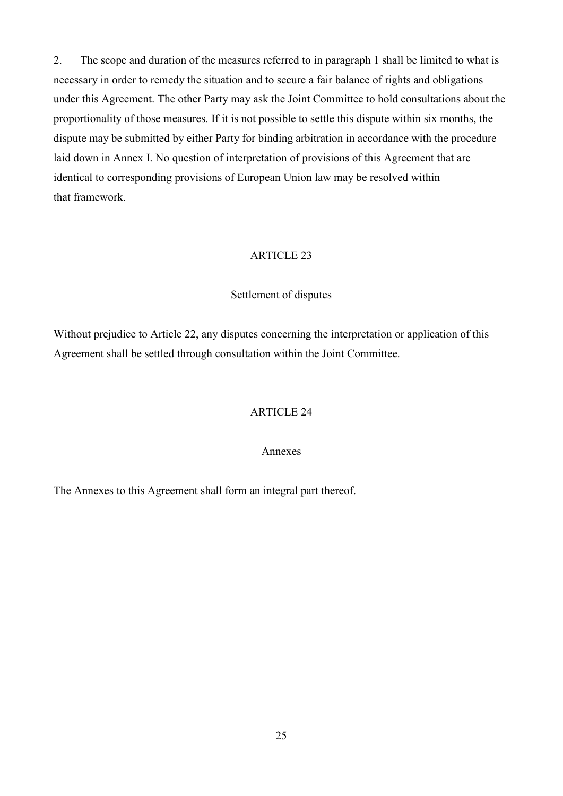2. The scope and duration of the measures referred to in paragraph 1 shall be limited to what is necessary in order to remedy the situation and to secure a fair balance of rights and obligations under this Agreement. The other Party may ask the Joint Committee to hold consultations about the proportionality of those measures. If it is not possible to settle this dispute within six months, the dispute may be submitted by either Party for binding arbitration in accordance with the procedure laid down in Annex I. No question of interpretation of provisions of this Agreement that are identical to corresponding provisions of European Union law may be resolved within that framework.

#### ARTICLE 23

#### Settlement of disputes

Without prejudice to Article 22, any disputes concerning the interpretation or application of this Agreement shall be settled through consultation within the Joint Committee.

#### ARTICLE 24

#### Annexes

The Annexes to this Agreement shall form an integral part thereof.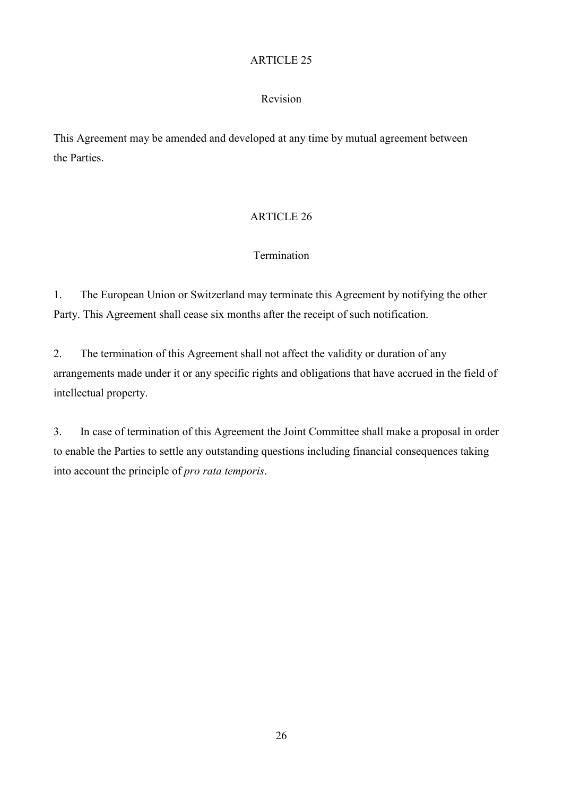#### Revision

This Agreement may be amended and developed at any time by mutual agreement between the Parties.

## ARTICLE 26

## Termination

1. The European Union or Switzerland may terminate this Agreement by notifying the other Party. This Agreement shall cease six months after the receipt of such notification.

2. The termination of this Agreement shall not affect the validity or duration of any arrangements made under it or any specific rights and obligations that have accrued in the field of intellectual property.

3. In case of termination of this Agreement the Joint Committee shall make a proposal in order to enable the Parties to settle any outstanding questions including financial consequences taking into account the principle of *pro rata temporis*.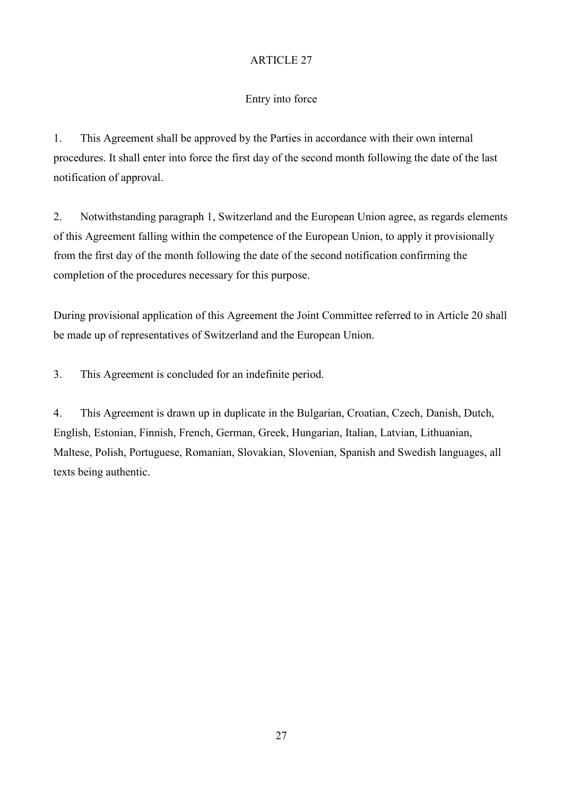## Entry into force

1. This Agreement shall be approved by the Parties in accordance with their own internal procedures. It shall enter into force the first day of the second month following the date of the last notification of approval.

2. Notwithstanding paragraph 1, Switzerland and the European Union agree, as regards elements of this Agreement falling within the competence of the European Union, to apply it provisionally from the first day of the month following the date of the second notification confirming the completion of the procedures necessary for this purpose.

During provisional application of this Agreement the Joint Committee referred to in Article 20 shall be made up of representatives of Switzerland and the European Union.

3. This Agreement is concluded for an indefinite period.

4. This Agreement is drawn up in duplicate in the Bulgarian, Croatian, Czech, Danish, Dutch, English, Estonian, Finnish, French, German, Greek, Hungarian, Italian, Latvian, Lithuanian, Maltese, Polish, Portuguese, Romanian, Slovakian, Slovenian, Spanish and Swedish languages, all texts being authentic.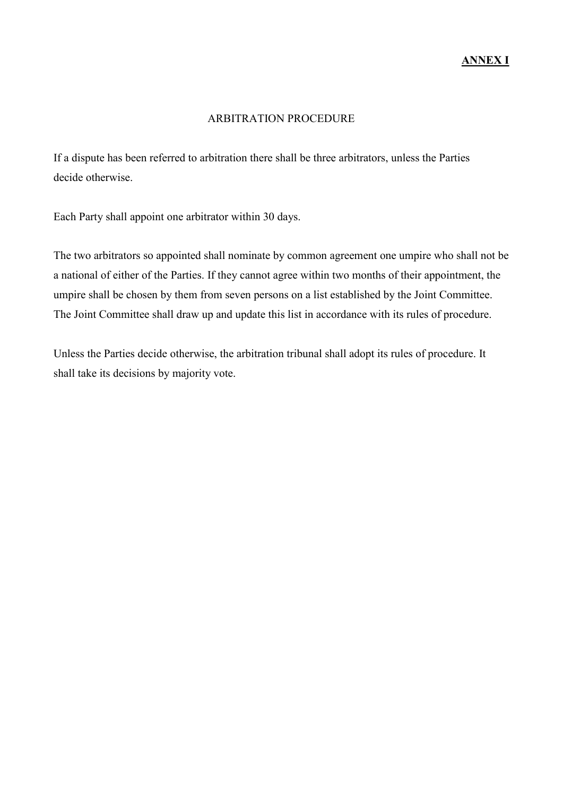### ARBITRATION PROCEDURE

If a dispute has been referred to arbitration there shall be three arbitrators, unless the Parties decide otherwise.

Each Party shall appoint one arbitrator within 30 days.

The two arbitrators so appointed shall nominate by common agreement one umpire who shall not be a national of either of the Parties. If they cannot agree within two months of their appointment, the umpire shall be chosen by them from seven persons on a list established by the Joint Committee. The Joint Committee shall draw up and update this list in accordance with its rules of procedure.

Unless the Parties decide otherwise, the arbitration tribunal shall adopt its rules of procedure. It shall take its decisions by majority vote.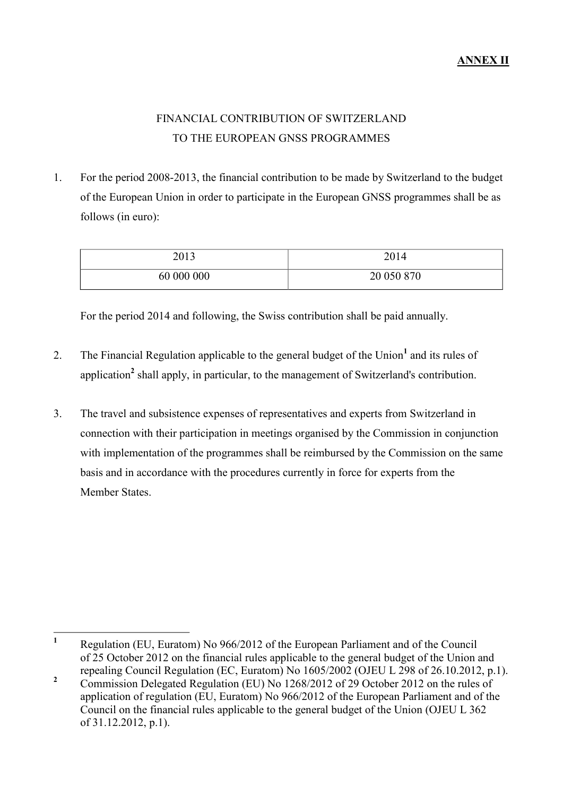# FINANCIAL CONTRIBUTION OF SWITZERLAND TO THE EUROPEAN GNSS PROGRAMMES

1. For the period 2008-2013, the financial contribution to be made by Switzerland to the budget of the European Union in order to participate in the European GNSS programmes shall be as follows (in euro):

| 2013       | 2014       |
|------------|------------|
| 60 000 000 | 20 050 870 |

<span id="page-28-3"></span><span id="page-28-2"></span>For the period 2014 and following, the Swiss contribution shall be paid annually.

- 2. The Financial Regulation applicable to the general budget of the Union<sup>[1](#page-28-0)</sup> and its rules of application<sup>[2](#page-28-1)</sup> shall apply, in particular, to the management of Switzerland's contribution.
- 3. The travel and subsistence expenses of representatives and experts from Switzerland in connection with their participation in meetings organised by the Commission in conjunction with implementation of the programmes shall be reimbursed by the Commission on the same basis and in accordance with the procedures currently in force for experts from the Member States.

<span id="page-28-0"></span> **[1](#page-28-2)** Regulation (EU, Euratom) No 966/2012 of the European Parliament and of the Council of 25 October 2012 on the financial rules applicable to the general budget of the Union and repealing Council Regulation (EC, Euratom) No 1605/2002 (OJEU L 298 of 26.10.2012, p.1).

<span id="page-28-1"></span>**[<sup>2</sup>](#page-28-3)** Commission Delegated Regulation (EU) No 1268/2012 of 29 October 2012 on the rules of application of regulation (EU, Euratom) No 966/2012 of the European Parliament and of the Council on the financial rules applicable to the general budget of the Union (OJEU L 362 of 31.12.2012, p.1).